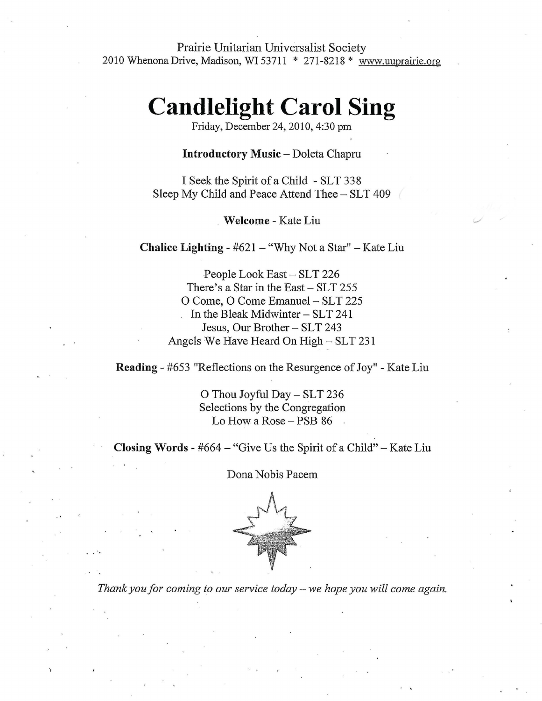Prairie Unitarian Universalist Society 2010 Whenona Drive, Madison, WI 53711  $*$  271-8218  $*$  www.uuprairie.org

## **Candlelight Carol Sing**

Friday, December 24, 2010, 4:30 pm

Introductory Music - Doleta Chapru

I Seek the Spirit of a Child - SLT 338 Sleep My Child and Peace Attend Thee - SLT 409

Welcome - Kate Liu

**Chalice Lighting -**  $#621 - "Why Not a Star" - Kate Liu$ 

People Look East - SLT 226 There's a Star in the East  $-$  SLT 255 O Come, O Come Emanuel - SLT 225 In the Bleak Midwinter  $-$  SLT 241 Jesus, Our Brother - SLT 243 Angels We Have Heard On  $High-SLT 231$ 

Reading - #653 "Reflections on the Resurgence of Joy" - Kate Liu

O Thou Joyful Day - SLT 236 Selections by the Congregation Lo How a Rose  $-$  PSB 86

**Closing Words -**  $#664 - "Give Us the Spirit of a Child" - Kate Liu$ 

Dona Nobis Pacem



*Thank you for coming to our service today - we hope you will come again.*